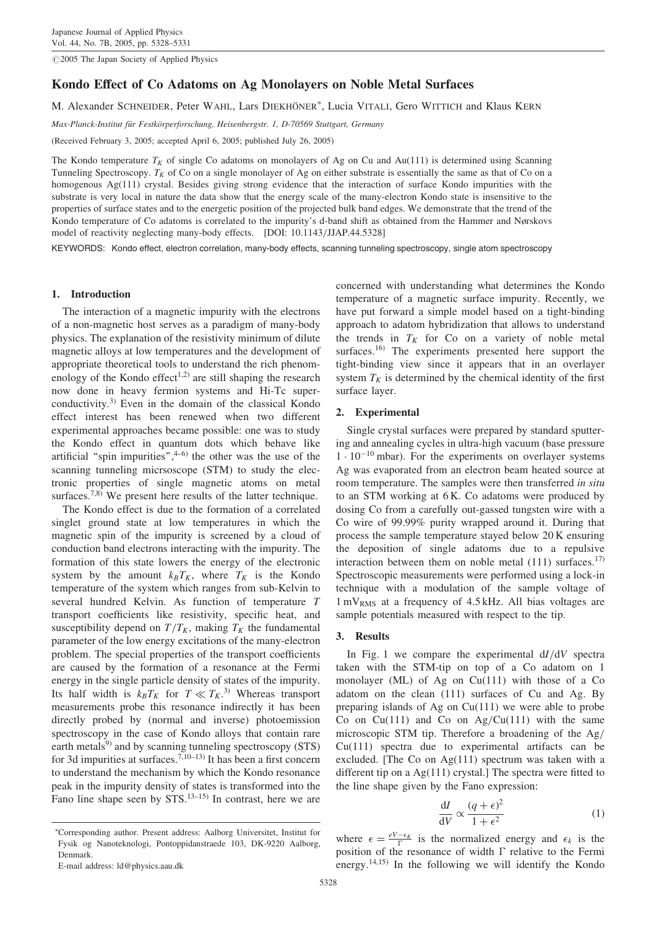$@2005$  The Japan Society of Applied Physics

# Kondo Effect of Co Adatoms on Ag Monolayers on Noble Metal Surfaces

M. Alexander SCHNEIDER, Peter WAHL, Lars DIEKHÖNER<sup>\*</sup>, Lucia VITALI, Gero WITTICH and Klaus KERN

Max-Planck-Institut für Festkörperforschung, Heisenbergstr. 1, D-70569 Stuttgart, Germany

(Received February 3, 2005; accepted April 6, 2005; published July 26, 2005)

The Kondo temperature  $T_K$  of single Co adatoms on monolayers of Ag on Cu and Au(111) is determined using Scanning Tunneling Spectroscopy.  $T_K$  of Co on a single monolayer of Ag on either substrate is essentially the same as that of Co on a homogenous Ag(111) crystal. Besides giving strong evidence that the interaction of surface Kondo impurities with the substrate is very local in nature the data show that the energy scale of the many-electron Kondo state is insensitive to the properties of surface states and to the energetic position of the projected bulk band edges. We demonstrate that the trend of the Kondo temperature of Co adatoms is correlated to the impurity's d-band shift as obtained from the Hammer and Nørskovs model of reactivity neglecting many-body effects. [DOI: 10.1143/JJAP.44.5328]

KEYWORDS: Kondo effect, electron correlation, many-body effects, scanning tunneling spectroscopy, single atom spectroscopy

# 1. Introduction

The interaction of a magnetic impurity with the electrons of a non-magnetic host serves as a paradigm of many-body physics. The explanation of the resistivity minimum of dilute magnetic alloys at low temperatures and the development of appropriate theoretical tools to understand the rich phenomenology of the Kondo effect<sup>1,2)</sup> are still shaping the research now done in heavy fermion systems and Hi-Tc superconductivity.3) Even in the domain of the classical Kondo effect interest has been renewed when two different experimental approaches became possible: one was to study the Kondo effect in quantum dots which behave like artificial "spin impurities", $4-6$ ) the other was the use of the scanning tunneling micrsoscope (STM) to study the electronic properties of single magnetic atoms on metal surfaces.<sup>7,8)</sup> We present here results of the latter technique.

The Kondo effect is due to the formation of a correlated singlet ground state at low temperatures in which the magnetic spin of the impurity is screened by a cloud of conduction band electrons interacting with the impurity. The formation of this state lowers the energy of the electronic system by the amount  $k_B T_K$ , where  $T_K$  is the Kondo temperature of the system which ranges from sub-Kelvin to several hundred Kelvin. As function of temperature T transport coefficients like resistivity, specific heat, and susceptibility depend on  $T/T_K$ , making  $T_K$  the fundamental parameter of the low energy excitations of the many-electron problem. The special properties of the transport coefficients are caused by the formation of a resonance at the Fermi energy in the single particle density of states of the impurity. Its half width is  $k_B T_K$  for  $T \ll T_K$ .<sup>3)</sup> Whereas transport measurements probe this resonance indirectly it has been directly probed by (normal and inverse) photoemission spectroscopy in the case of Kondo alloys that contain rare earth metals $9$  and by scanning tunneling spectroscopy (STS) for 3d impurities at surfaces.<sup>7,10–13)</sup> It has been a first concern to understand the mechanism by which the Kondo resonance peak in the impurity density of states is transformed into the Fano line shape seen by STS.<sup>13–15)</sup> In contrast, here we are

E-mail address: ld@physics.aau.dk

concerned with understanding what determines the Kondo temperature of a magnetic surface impurity. Recently, we have put forward a simple model based on a tight-binding approach to adatom hybridization that allows to understand the trends in  $T_K$  for Co on a variety of noble metal surfaces.<sup>16)</sup> The experiments presented here support the tight-binding view since it appears that in an overlayer system  $T_K$  is determined by the chemical identity of the first surface layer.

### 2. Experimental

Single crystal surfaces were prepared by standard sputtering and annealing cycles in ultra-high vacuum (base pressure  $1 \cdot 10^{-10}$  mbar). For the experiments on overlayer systems Ag was evaporated from an electron beam heated source at room temperature. The samples were then transferred in situ to an STM working at 6 K. Co adatoms were produced by dosing Co from a carefully out-gassed tungsten wire with a Co wire of 99.99% purity wrapped around it. During that process the sample temperature stayed below 20 K ensuring the deposition of single adatoms due to a repulsive interaction between them on noble metal  $(111)$  surfaces.<sup>17)</sup> Spectroscopic measurements were performed using a lock-in technique with a modulation of the sample voltage of  $1 \text{ mV}_{RMS}$  at a frequency of 4.5 kHz. All bias voltages are sample potentials measured with respect to the tip.

# 3. Results

In Fig. 1 we compare the experimental  $dI/dV$  spectra taken with the STM-tip on top of a Co adatom on 1 monolayer (ML) of Ag on Cu(111) with those of a Co adatom on the clean (111) surfaces of Cu and Ag. By preparing islands of Ag on Cu(111) we were able to probe Co on  $Cu(111)$  and Co on  $Ag/Cu(111)$  with the same microscopic STM tip. Therefore a broadening of the Ag/ Cu(111) spectra due to experimental artifacts can be excluded. [The Co on Ag(111) spectrum was taken with a different tip on a  $Ag(111)$  crystal.] The spectra were fitted to the line shape given by the Fano expression:

$$
\frac{\mathrm{d}I}{\mathrm{d}V} \propto \frac{(q+\epsilon)^2}{1+\epsilon^2} \tag{1}
$$

where  $\epsilon = \frac{eV - \epsilon_K}{\Gamma}$  is the normalized energy and  $\epsilon_k$  is the position of the resonance of width  $\Gamma$  relative to the Fermi energy.<sup>14,15)</sup> In the following we will identify the Kondo

Corresponding author. Present address: Aalborg Universitet, Institut for Fysik og Nanoteknologi, Pontoppidanstraede 103, DK-9220 Aalborg, Denmark.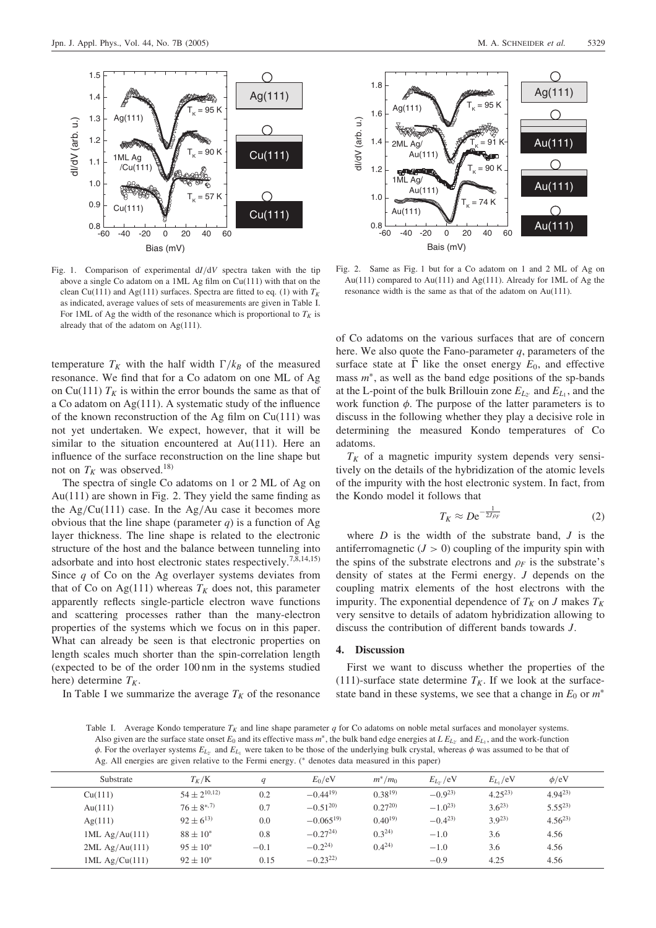

Fig. 1. Comparison of experimental  $dI/dV$  spectra taken with the tip above a single Co adatom on a 1ML Ag film on Cu(111) with that on the clean Cu(111) and Ag(111) surfaces. Spectra are fitted to eq. (1) with  $T_K$ as indicated, average values of sets of measurements are given in Table I. For 1ML of Ag the width of the resonance which is proportional to  $T_K$  is already that of the adatom on Ag(111).

temperature  $T_K$  with the half width  $\Gamma/k_B$  of the measured resonance. We find that for a Co adatom on one ML of Ag on Cu(111)  $T_K$  is within the error bounds the same as that of a Co adatom on Ag(111). A systematic study of the influence of the known reconstruction of the Ag film on  $Cu(111)$  was not yet undertaken. We expect, however, that it will be similar to the situation encountered at Au(111). Here an influence of the surface reconstruction on the line shape but not on  $T_K$  was observed.<sup>18)</sup>

The spectra of single Co adatoms on 1 or 2 ML of Ag on Au(111) are shown in Fig. 2. They yield the same finding as the  $Ag/Cu(111)$  case. In the  $Ag/Au$  case it becomes more obvious that the line shape (parameter  $q$ ) is a function of Ag layer thickness. The line shape is related to the electronic structure of the host and the balance between tunneling into adsorbate and into host electronic states respectively.7,8,14,15) Since  $q$  of Co on the Ag overlayer systems deviates from that of Co on Ag(111) whereas  $T_K$  does not, this parameter apparently reflects single-particle electron wave functions and scattering processes rather than the many-electron properties of the systems which we focus on in this paper. What can already be seen is that electronic properties on length scales much shorter than the spin-correlation length (expected to be of the order 100 nm in the systems studied here) determine  $T_K$ .

In Table I we summarize the average  $T_K$  of the resonance



Fig. 2. Same as Fig. 1 but for a Co adatom on 1 and 2 ML of Ag on Au(111) compared to Au(111) and Ag(111). Already for 1ML of Ag the resonance width is the same as that of the adatom on Au(111).

of Co adatoms on the various surfaces that are of concern here. We also quote the Fano-parameter  $q$ , parameters of the surface state at  $\overline{\Gamma}$  like the onset energy  $E_0$ , and effective mass  $m^*$ , as well as the band edge positions of the sp-bands at the L-point of the bulk Brillouin zone  $E_{L_2}$  and  $E_{L_1}$ , and the work function  $\phi$ . The purpose of the latter parameters is to discuss in the following whether they play a decisive role in determining the measured Kondo temperatures of Co adatoms.

 $T_K$  of a magnetic impurity system depends very sensitively on the details of the hybridization of the atomic levels of the impurity with the host electronic system. In fact, from the Kondo model it follows that

$$
T_K \approx D e^{-\frac{1}{2J_{\rho_F}}} \tag{2}
$$

where  $D$  is the width of the substrate band,  $J$  is the antiferromagnetic  $(J > 0)$  coupling of the impurity spin with the spins of the substrate electrons and  $\rho_F$  is the substrate's density of states at the Fermi energy. J depends on the coupling matrix elements of the host electrons with the impurity. The exponential dependence of  $T_K$  on J makes  $T_K$ very sensitve to details of adatom hybridization allowing to discuss the contribution of different bands towards J.

## 4. Discussion

First we want to discuss whether the properties of the (111)-surface state determine  $T_K$ . If we look at the surfacestate band in these systems, we see that a change in  $E_0$  or  $m^*$ 

Table I. Average Kondo temperature  $T_K$  and line shape parameter q for Co adatoms on noble metal surfaces and monolayer systems. Also given are the surface state onset  $E_0$  and its effective mass  $m^*$ , the bulk band edge energies at  $LE_{Lv}$  and  $E_{Lv}$ , and the work-function  $\phi$ . For the overlayer systems  $E_{L_2}$  and  $E_{L_1}$  were taken to be those of the underlying bulk crystal, whereas  $\phi$  was assumed to be that of Ag. All energies are given relative to the Fermi energy. (\* denotes data measured in this paper)

| Substrate        | $T_K/K$          | $\boldsymbol{q}$ | $E_0/eV$      | $m^*/m_0$   | $E_{L\nu}$ /eV | $E_{L_1}/eV$ | $\phi$ /eV  |
|------------------|------------------|------------------|---------------|-------------|----------------|--------------|-------------|
| Cu(111)          | $54 + 2^{10,12}$ | 0.2              | $-0.44^{19}$  | $0.38^{19}$ | $-0.9^{23}$    | $4.25^{23}$  | $4.94^{23}$ |
| Au $(111)$       | $76 + 8^{*,7}$   | 0.7              | $-0.51^{20}$  | $0.27^{20}$ | $-1.0^{23}$    | $3.6^{23}$   | $5.55^{23}$ |
| Ag(111)          | $92 + 6^{13}$    | 0.0              | $-0.065^{19}$ | $0.40^{19}$ | $-0.4^{23}$    | $3.9^{23}$   | $4.56^{23}$ |
| 1ML $Ag/Au(111)$ | $88 + 10^*$      | 0.8              | $-0.27^{24}$  | $0.3^{24}$  | $-1.0$         | 3.6          | 4.56        |
| $2ML$ Ag/Au(111) | $95 \pm 10^*$    | $-0.1$           | $-0.2^{24}$   | $0.4^{24}$  | $-1.0$         | 3.6          | 4.56        |
| $1ML$ Ag/Cu(111) | $92 \pm 10^*$    | 0.15             | $-0.23^{22}$  |             | $-0.9$         | 4.25         | 4.56        |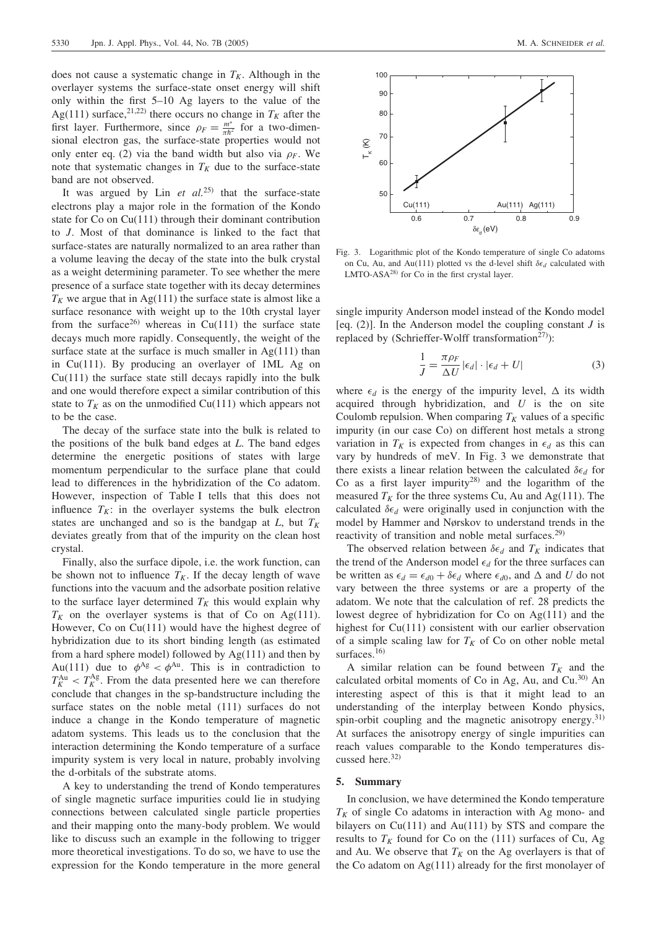does not cause a systematic change in  $T_K$ . Although in the overlayer systems the surface-state onset energy will shift only within the first 5–10 Ag layers to the value of the Ag(111) surface,<sup>21,22)</sup> there occurs no change in  $T_K$  after the first layer. Furthermore, since  $\rho_F = \frac{m^*}{\pi h^2}$  for a two-dimensional electron gas, the surface-state properties would not only enter eq. (2) via the band width but also via  $\rho_F$ . We note that systematic changes in  $T_K$  due to the surface-state band are not observed.

It was argued by Lin et  $al^{25)}$  that the surface-state electrons play a major role in the formation of the Kondo state for Co on Cu(111) through their dominant contribution to J. Most of that dominance is linked to the fact that surface-states are naturally normalized to an area rather than a volume leaving the decay of the state into the bulk crystal as a weight determining parameter. To see whether the mere presence of a surface state together with its decay determines  $T_K$  we argue that in Ag(111) the surface state is almost like a surface resonance with weight up to the 10th crystal layer from the surface<sup>26)</sup> whereas in Cu(111) the surface state decays much more rapidly. Consequently, the weight of the surface state at the surface is much smaller in  $Ag(111)$  than in Cu(111). By producing an overlayer of 1ML Ag on  $Cu(111)$  the surface state still decays rapidly into the bulk and one would therefore expect a similar contribution of this state to  $T_K$  as on the unmodified Cu(111) which appears not to be the case.

The decay of the surface state into the bulk is related to the positions of the bulk band edges at  $L$ . The band edges determine the energetic positions of states with large momentum perpendicular to the surface plane that could lead to differences in the hybridization of the Co adatom. However, inspection of Table I tells that this does not influence  $T_K$ : in the overlayer systems the bulk electron states are unchanged and so is the bandgap at  $L$ , but  $T_K$ deviates greatly from that of the impurity on the clean host crystal.

Finally, also the surface dipole, i.e. the work function, can be shown not to influence  $T_K$ . If the decay length of wave functions into the vacuum and the adsorbate position relative to the surface layer determined  $T_K$  this would explain why  $T_K$  on the overlayer systems is that of Co on Ag(111). However, Co on Cu(111) would have the highest degree of hybridization due to its short binding length (as estimated from a hard sphere model) followed by  $Ag(111)$  and then by Au(111) due to  $\phi^{Ag} < \phi^{Au}$ . This is in contradiction to  $T_K^{\text{Au}} < T_K^{\text{Ag}}$ . From the data presented here we can therefore conclude that changes in the sp-bandstructure including the surface states on the noble metal (111) surfaces do not induce a change in the Kondo temperature of magnetic adatom systems. This leads us to the conclusion that the interaction determining the Kondo temperature of a surface impurity system is very local in nature, probably involving the d-orbitals of the substrate atoms.

A key to understanding the trend of Kondo temperatures of single magnetic surface impurities could lie in studying connections between calculated single particle properties and their mapping onto the many-body problem. We would like to discuss such an example in the following to trigger more theoretical investigations. To do so, we have to use the expression for the Kondo temperature in the more general



Fig. 3. Logarithmic plot of the Kondo temperature of single Co adatoms on Cu, Au, and Au(111) plotted vs the d-level shift  $\delta \epsilon_d$  calculated with LMTO-ASA28) for Co in the first crystal layer.

single impurity Anderson model instead of the Kondo model [eq.  $(2)$ ]. In the Anderson model the coupling constant *J* is replaced by (Schrieffer-Wolff transformation<sup>27)</sup>):

$$
\frac{1}{J} = \frac{\pi \rho_F}{\Delta U} |\epsilon_d| \cdot |\epsilon_d + U| \tag{3}
$$

where  $\epsilon_d$  is the energy of the impurity level,  $\Delta$  its width acquired through hybridization, and  $U$  is the on site Coulomb repulsion. When comparing  $T_K$  values of a specific impurity (in our case Co) on different host metals a strong variation in  $T_K$  is expected from changes in  $\epsilon_d$  as this can vary by hundreds of meV. In Fig. 3 we demonstrate that there exists a linear relation between the calculated  $\delta \epsilon_d$  for Co as a first layer impurity<sup>28)</sup> and the logarithm of the measured  $T_K$  for the three systems Cu, Au and Ag(111). The calculated  $\delta \epsilon_d$  were originally used in conjunction with the model by Hammer and Nørskov to understand trends in the reactivity of transition and noble metal surfaces.<sup>29)</sup>

The observed relation between  $\delta \epsilon_d$  and  $T_K$  indicates that the trend of the Anderson model  $\epsilon_d$  for the three surfaces can be written as  $\epsilon_d = \epsilon_{d0} + \delta \epsilon_d$  where  $\epsilon_{d0}$ , and  $\Delta$  and U do not vary between the three systems or are a property of the adatom. We note that the calculation of ref. 28 predicts the lowest degree of hybridization for Co on Ag(111) and the highest for Cu(111) consistent with our earlier observation of a simple scaling law for  $T_K$  of Co on other noble metal surfaces.<sup>16)</sup>

A similar relation can be found between  $T_K$  and the calculated orbital moments of Co in Ag, Au, and Cu. $30$  An interesting aspect of this is that it might lead to an understanding of the interplay between Kondo physics, spin-orbit coupling and the magnetic anisotropy energy.<sup>31)</sup> At surfaces the anisotropy energy of single impurities can reach values comparable to the Kondo temperatures discussed here.<sup>32)</sup>

#### 5. Summary

In conclusion, we have determined the Kondo temperature  $T_K$  of single Co adatoms in interaction with Ag mono- and bilayers on  $Cu(111)$  and  $Au(111)$  by STS and compare the results to  $T_K$  found for Co on the (111) surfaces of Cu, Ag and Au. We observe that  $T_K$  on the Ag overlayers is that of the Co adatom on Ag(111) already for the first monolayer of